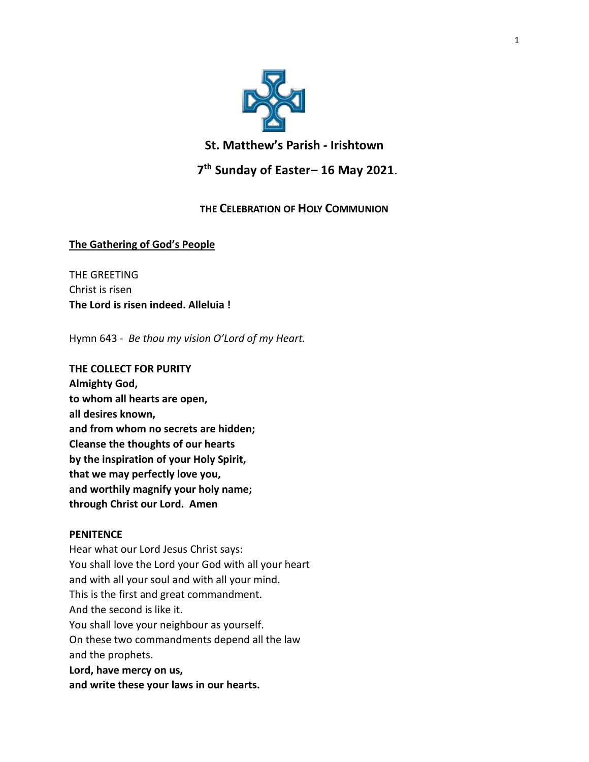

# **St. Matthew's Parish - Irishtown**

# **7 th Sunday of Easter– 16 May 2021**.

# **THE CELEBRATION OF HOLY COMMUNION**

## **The Gathering of God's People**

THE GREETING Christ is risen **The Lord is risen indeed. Alleluia !**

Hymn 643 - *Be thou my vision O'Lord of my Heart.*

**THE COLLECT FOR PURITY Almighty God, to whom all hearts are open, all desires known, and from whom no secrets are hidden; Cleanse the thoughts of our hearts by the inspiration of your Holy Spirit, that we may perfectly love you, and worthily magnify your holy name; through Christ our Lord. Amen**

### **PENITENCE**

Hear what our Lord Jesus Christ says: You shall love the Lord your God with all your heart and with all your soul and with all your mind. This is the first and great commandment. And the second is like it. You shall love your neighbour as yourself. On these two commandments depend all the law and the prophets. **Lord, have mercy on us, and write these your laws in our hearts.**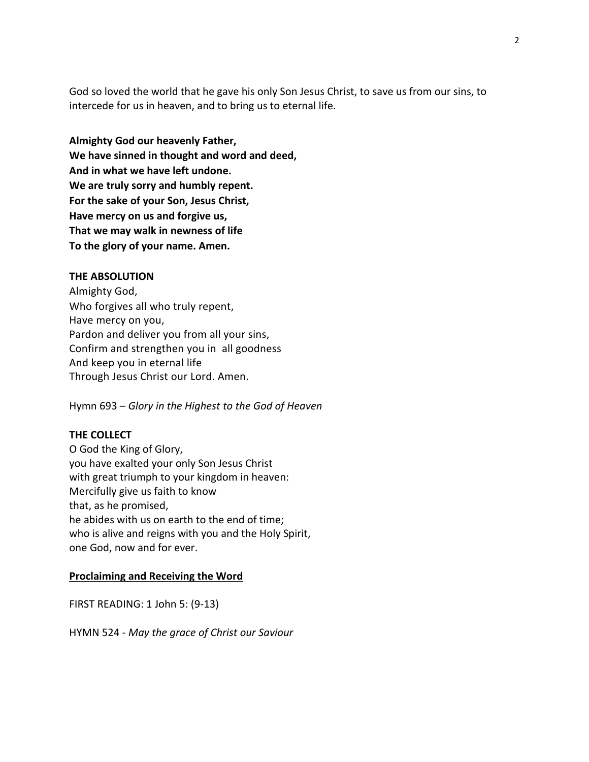God so loved the world that he gave his only Son Jesus Christ, to save us from our sins, to intercede for us in heaven, and to bring us to eternal life.

**Almighty God our heavenly Father, We have sinned in thought and word and deed, And in what we have left undone. We are truly sorry and humbly repent. For the sake of your Son, Jesus Christ, Have mercy on us and forgive us, That we may walk in newness of life To the glory of your name. Amen.**

### **THE ABSOLUTION**

Almighty God, Who forgives all who truly repent, Have mercy on you, Pardon and deliver you from all your sins, Confirm and strengthen you in all goodness And keep you in eternal life Through Jesus Christ our Lord. Amen.

Hymn 693 – *Glory in the Highest to the God of Heaven*

### **THE COLLECT**

O God the King of Glory, you have exalted your only Son Jesus Christ with great triumph to your kingdom in heaven: Mercifully give us faith to know that, as he promised, he abides with us on earth to the end of time; who is alive and reigns with you and the Holy Spirit, one God, now and for ever.

#### **Proclaiming and Receiving the Word**

FIRST READING: 1 John 5: (9-13)

HYMN 524 - *May the grace of Christ our Saviour*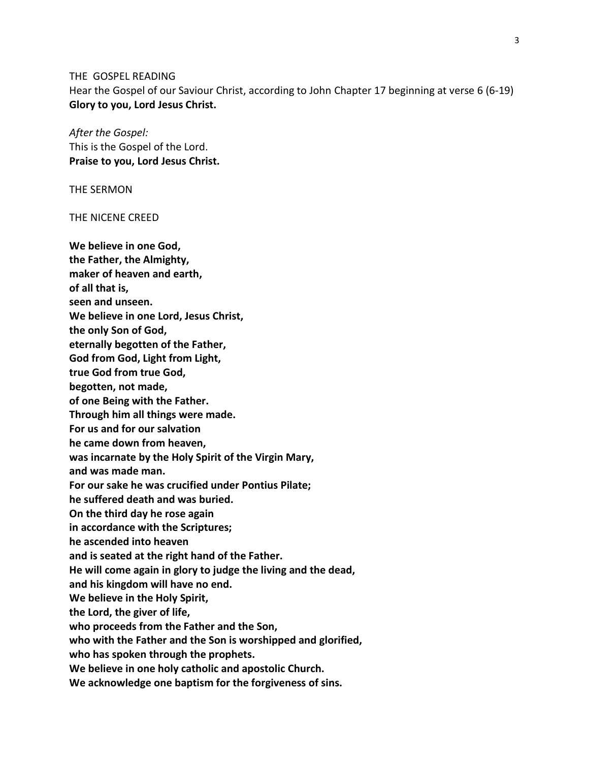THE GOSPEL READING

Hear the Gospel of our Saviour Christ, according to John Chapter 17 beginning at verse 6 (6-19) **Glory to you, Lord Jesus Christ.**

# *After the Gospel:* This is the Gospel of the Lord. **Praise to you, Lord Jesus Christ.**

THE SERMON

THE NICENE CREED

- **We believe in one God, the Father, the Almighty,**
- **maker of heaven and earth,**
- **of all that is,**
- **seen and unseen.**
- **We believe in one Lord, Jesus Christ,**
- **the only Son of God,**
- **eternally begotten of the Father,**
- **God from God, Light from Light,**
- **true God from true God,**
- **begotten, not made,**
- **of one Being with the Father.**
- **Through him all things were made.**
- **For us and for our salvation**
- **he came down from heaven,**
- **was incarnate by the Holy Spirit of the Virgin Mary,**
- **and was made man.**
- **For our sake he was crucified under Pontius Pilate;**
- **he suffered death and was buried.**
- **On the third day he rose again**
- **in accordance with the Scriptures;**
- **he ascended into heaven**
- **and is seated at the right hand of the Father.**
- **He will come again in glory to judge the living and the dead,**
- **and his kingdom will have no end.**
- **We believe in the Holy Spirit,**
- **the Lord, the giver of life,**
- **who proceeds from the Father and the Son,**
- **who with the Father and the Son is worshipped and glorified,**
- **who has spoken through the prophets.**
- **We believe in one holy catholic and apostolic Church.**
- **We acknowledge one baptism for the forgiveness of sins.**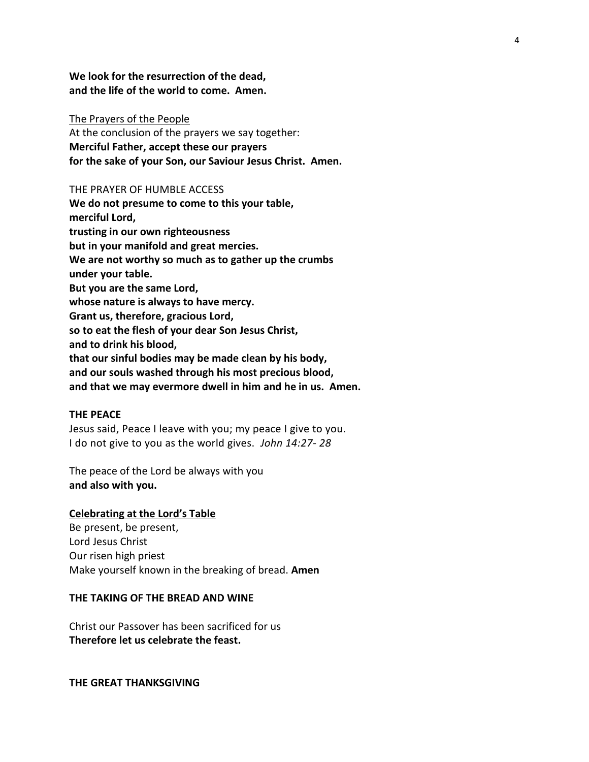**We look for the resurrection of the dead, and the life of the world to come. Amen.**

### The Prayers of the People

At the conclusion of the prayers we say together: **Merciful Father, accept these our prayers for the sake of your Son, our Saviour Jesus Christ. Amen.**

#### THE PRAYER OF HUMBLE ACCESS

**We do not presume to come to this your table, merciful Lord, trusting in our own righteousness but in your manifold and great mercies. We are not worthy so much as to gather up the crumbs under your table. But you are the same Lord, whose nature is always to have mercy. Grant us, therefore, gracious Lord, so to eat the flesh of your dear Son Jesus Christ, and to drink his blood, that our sinful bodies may be made clean by his body, and our souls washed through his most precious blood, and that we may evermore dwell in him and he in us. Amen.**

### **THE PEACE**

Jesus said, Peace I leave with you; my peace I give to you. I do not give to you as the world gives. *John 14:27- 28*

The peace of the Lord be always with you **and also with you.**

### **Celebrating at the Lord's Table**

Be present, be present, Lord Jesus Christ Our risen high priest Make yourself known in the breaking of bread. **Amen**

#### **THE TAKING OF THE BREAD AND WINE**

Christ our Passover has been sacrificed for us **Therefore let us celebrate the feast.**

**THE GREAT THANKSGIVING**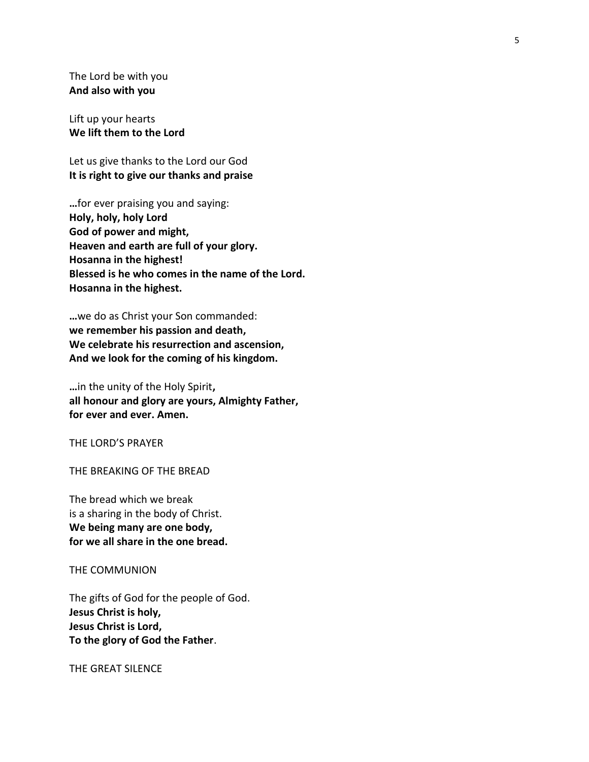The Lord be with you **And also with you**

Lift up your hearts **We lift them to the Lord**

Let us give thanks to the Lord our God **It is right to give our thanks and praise**

**…**for ever praising you and saying: **Holy, holy, holy Lord God of power and might, Heaven and earth are full of your glory. Hosanna in the highest! Blessed is he who comes in the name of the Lord. Hosanna in the highest.**

**…**we do as Christ your Son commanded: **we remember his passion and death, We celebrate his resurrection and ascension, And we look for the coming of his kingdom.**

**…**in the unity of the Holy Spirit**, all honour and glory are yours, Almighty Father, for ever and ever. Amen.**

THE LORD'S PRAYER

THE BREAKING OF THE BREAD

The bread which we break is a sharing in the body of Christ. **We being many are one body, for we all share in the one bread.**

THE COMMUNION

The gifts of God for the people of God. **Jesus Christ is holy, Jesus Christ is Lord, To the glory of God the Father**.

THE GREAT SILENCE